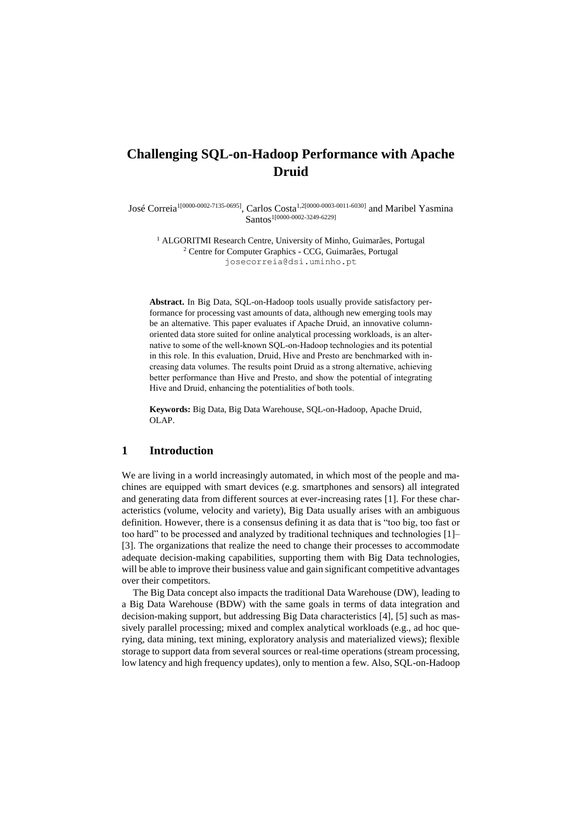# **Challenging SQL-on-Hadoop Performance with Apache Druid**

José Correia<sup>1[0000-0002-7135-0695]</sup>, Carlos Costa<sup>1,2[0000-0003-0011-6030]</sup> and Maribel Yasmina Santos<sup>1[0000-0002-3249-6229]</sup>

<sup>1</sup> ALGORITMI Research Centre, University of Minho, Guimarães, Portugal <sup>2</sup> Centre for Computer Graphics - CCG, Guimarães, Portugal josecorreia@dsi.uminho.pt

**Abstract.** In Big Data, SQL-on-Hadoop tools usually provide satisfactory performance for processing vast amounts of data, although new emerging tools may be an alternative. This paper evaluates if Apache Druid, an innovative columnoriented data store suited for online analytical processing workloads, is an alternative to some of the well-known SQL-on-Hadoop technologies and its potential in this role. In this evaluation, Druid, Hive and Presto are benchmarked with increasing data volumes. The results point Druid as a strong alternative, achieving better performance than Hive and Presto, and show the potential of integrating Hive and Druid, enhancing the potentialities of both tools.

**Keywords:** Big Data, Big Data Warehouse, SQL-on-Hadoop, Apache Druid, OLAP.

# **1 Introduction**

We are living in a world increasingly automated, in which most of the people and machines are equipped with smart devices (e.g. smartphones and sensors) all integrated and generating data from different sources at ever-increasing rates [1]. For these characteristics (volume, velocity and variety), Big Data usually arises with an ambiguous definition. However, there is a consensus defining it as data that is "too big, too fast or too hard" to be processed and analyzed by traditional techniques and technologies [1]– [3]. The organizations that realize the need to change their processes to accommodate adequate decision-making capabilities, supporting them with Big Data technologies, will be able to improve their business value and gain significant competitive advantages over their competitors.

The Big Data concept also impacts the traditional Data Warehouse (DW), leading to a Big Data Warehouse (BDW) with the same goals in terms of data integration and decision-making support, but addressing Big Data characteristics [4], [5] such as massively parallel processing; mixed and complex analytical workloads (e.g., ad hoc querying, data mining, text mining, exploratory analysis and materialized views); flexible storage to support data from several sources or real-time operations (stream processing, low latency and high frequency updates), only to mention a few. Also, SQL-on-Hadoop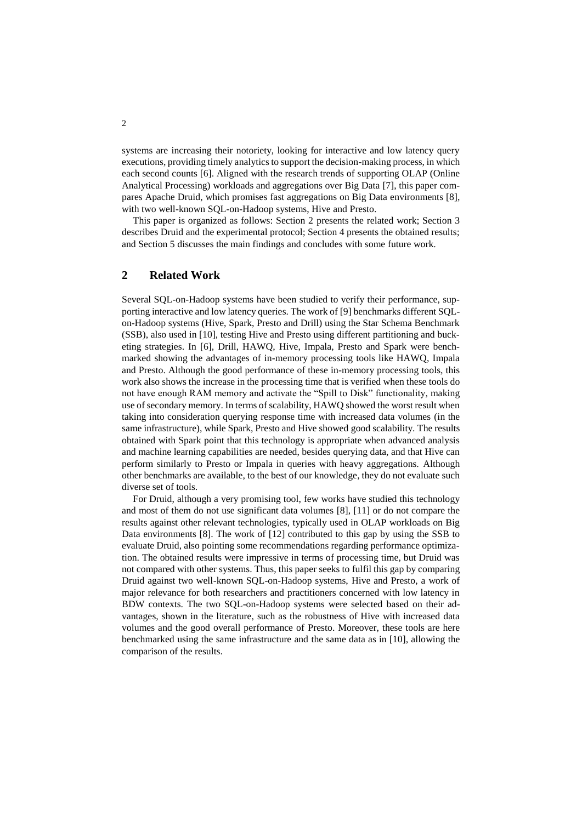systems are increasing their notoriety, looking for interactive and low latency query executions, providing timely analytics to support the decision-making process, in which each second counts [6]. Aligned with the research trends of supporting OLAP (Online Analytical Processing) workloads and aggregations over Big Data [7], this paper compares Apache Druid, which promises fast aggregations on Big Data environments [8], with two well-known SQL-on-Hadoop systems, Hive and Presto.

This paper is organized as follows: Section 2 presents the related work; Section 3 describes Druid and the experimental protocol; Section 4 presents the obtained results; and Section 5 discusses the main findings and concludes with some future work.

# **2 Related Work**

Several SQL-on-Hadoop systems have been studied to verify their performance, supporting interactive and low latency queries. The work of [9] benchmarks different SQLon-Hadoop systems (Hive, Spark, Presto and Drill) using the Star Schema Benchmark (SSB), also used in [10], testing Hive and Presto using different partitioning and bucketing strategies. In [6], Drill, HAWQ, Hive, Impala, Presto and Spark were benchmarked showing the advantages of in-memory processing tools like HAWQ, Impala and Presto. Although the good performance of these in-memory processing tools, this work also shows the increase in the processing time that is verified when these tools do not have enough RAM memory and activate the "Spill to Disk" functionality, making use of secondary memory. In terms of scalability, HAWQ showed the worst result when taking into consideration querying response time with increased data volumes (in the same infrastructure), while Spark, Presto and Hive showed good scalability. The results obtained with Spark point that this technology is appropriate when advanced analysis and machine learning capabilities are needed, besides querying data, and that Hive can perform similarly to Presto or Impala in queries with heavy aggregations. Although other benchmarks are available, to the best of our knowledge, they do not evaluate such diverse set of tools.

For Druid, although a very promising tool, few works have studied this technology and most of them do not use significant data volumes [8], [11] or do not compare the results against other relevant technologies, typically used in OLAP workloads on Big Data environments [8]. The work of [12] contributed to this gap by using the SSB to evaluate Druid, also pointing some recommendations regarding performance optimization. The obtained results were impressive in terms of processing time, but Druid was not compared with other systems. Thus, this paper seeks to fulfil this gap by comparing Druid against two well-known SQL-on-Hadoop systems, Hive and Presto, a work of major relevance for both researchers and practitioners concerned with low latency in BDW contexts. The two SQL-on-Hadoop systems were selected based on their advantages, shown in the literature, such as the robustness of Hive with increased data volumes and the good overall performance of Presto. Moreover, these tools are here benchmarked using the same infrastructure and the same data as in [10], allowing the comparison of the results.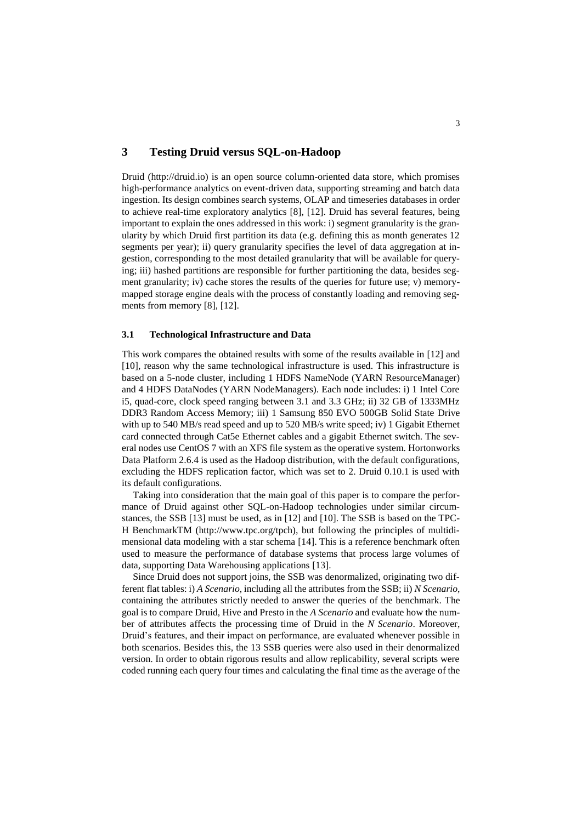# **3 Testing Druid versus SQL-on-Hadoop**

Druid (http://druid.io) is an open source column-oriented data store, which promises high-performance analytics on event-driven data, supporting streaming and batch data ingestion. Its design combines search systems, OLAP and timeseries databases in order to achieve real-time exploratory analytics [8], [12]. Druid has several features, being important to explain the ones addressed in this work: i) segment granularity is the granularity by which Druid first partition its data (e.g. defining this as month generates 12 segments per year); ii) query granularity specifies the level of data aggregation at ingestion, corresponding to the most detailed granularity that will be available for querying; iii) hashed partitions are responsible for further partitioning the data, besides segment granularity; iv) cache stores the results of the queries for future use; v) memorymapped storage engine deals with the process of constantly loading and removing segments from memory [8], [12].

#### **3.1 Technological Infrastructure and Data**

This work compares the obtained results with some of the results available in [12] and [10], reason why the same technological infrastructure is used. This infrastructure is based on a 5-node cluster, including 1 HDFS NameNode (YARN ResourceManager) and 4 HDFS DataNodes (YARN NodeManagers). Each node includes: i) 1 Intel Core i5, quad-core, clock speed ranging between 3.1 and 3.3 GHz; ii) 32 GB of 1333MHz DDR3 Random Access Memory; iii) 1 Samsung 850 EVO 500GB Solid State Drive with up to 540 MB/s read speed and up to 520 MB/s write speed; iv) 1 Gigabit Ethernet card connected through Cat5e Ethernet cables and a gigabit Ethernet switch. The several nodes use CentOS 7 with an XFS file system as the operative system. Hortonworks Data Platform 2.6.4 is used as the Hadoop distribution, with the default configurations, excluding the HDFS replication factor, which was set to 2. Druid 0.10.1 is used with its default configurations.

Taking into consideration that the main goal of this paper is to compare the performance of Druid against other SQL-on-Hadoop technologies under similar circumstances, the SSB [13] must be used, as in [12] and [10]. The SSB is based on the TPC-H BenchmarkTM (http://www.tpc.org/tpch), but following the principles of multidimensional data modeling with a star schema [14]. This is a reference benchmark often used to measure the performance of database systems that process large volumes of data, supporting Data Warehousing applications [13].

Since Druid does not support joins, the SSB was denormalized, originating two different flat tables: i) *A Scenario*, including all the attributes from the SSB; ii) *N Scenario*, containing the attributes strictly needed to answer the queries of the benchmark. The goal is to compare Druid, Hive and Presto in the *A Scenario* and evaluate how the number of attributes affects the processing time of Druid in the *N Scenario*. Moreover, Druid's features, and their impact on performance, are evaluated whenever possible in both scenarios. Besides this, the 13 SSB queries were also used in their denormalized version. In order to obtain rigorous results and allow replicability, several scripts were coded running each query four times and calculating the final time as the average of the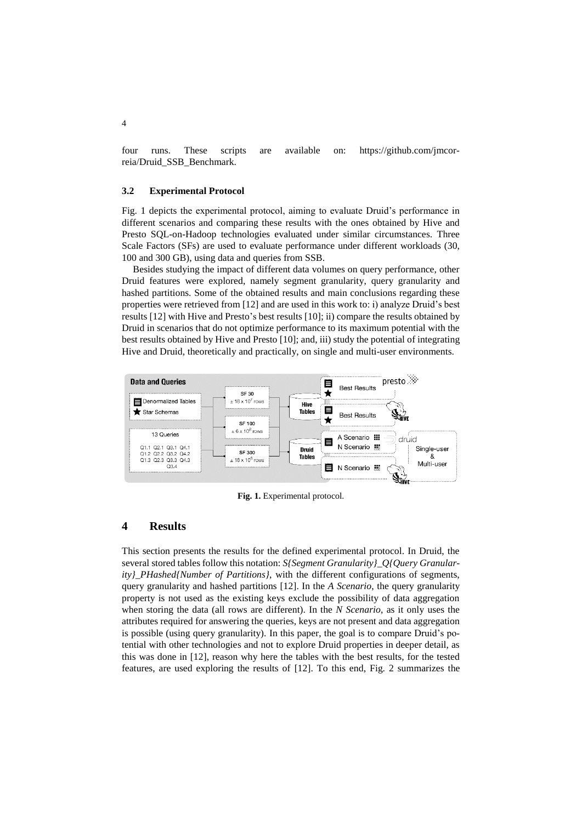four runs. These scripts are available on: https://github.com/jmcorreia/Druid\_SSB\_Benchmark.

#### **3.2 Experimental Protocol**

[Fig. 1](#page-3-0) depicts the experimental protocol, aiming to evaluate Druid's performance in different scenarios and comparing these results with the ones obtained by Hive and Presto SQL-on-Hadoop technologies evaluated under similar circumstances. Three Scale Factors (SFs) are used to evaluate performance under different workloads (30, 100 and 300 GB), using data and queries from SSB.

Besides studying the impact of different data volumes on query performance, other Druid features were explored, namely segment granularity, query granularity and hashed partitions. Some of the obtained results and main conclusions regarding these properties were retrieved from [12] and are used in this work to: i) analyze Druid's best results [12] with Hive and Presto's best results [10]; ii) compare the results obtained by Druid in scenarios that do not optimize performance to its maximum potential with the best results obtained by Hive and Presto [10]; and, iii) study the potential of integrating Hive and Druid, theoretically and practically, on single and multi-user environments.



**Fig. 1.** Experimental protocol.

## <span id="page-3-0"></span>**4 Results**

This section presents the results for the defined experimental protocol. In Druid, the several stored tables follow this notation: *S{Segment Granularity}\_Q{Query Granularity}\_PHashed{Number of Partitions}*, with the different configurations of segments, query granularity and hashed partitions [12]. In the *A Scenario*, the query granularity property is not used as the existing keys exclude the possibility of data aggregation when storing the data (all rows are different). In the *N Scenario*, as it only uses the attributes required for answering the queries, keys are not present and data aggregation is possible (using query granularity). In this paper, the goal is to compare Druid's potential with other technologies and not to explore Druid properties in deeper detail, as this was done in [12], reason why here the tables with the best results, for the tested features, are used exploring the results of [12]. To this end, [Fig. 2](#page-4-0) summarizes the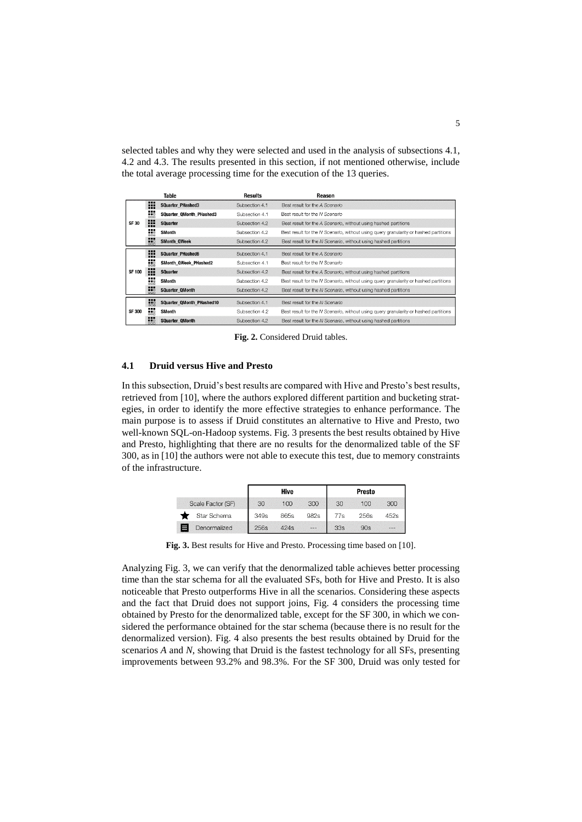selected tables and why they were selected and used in the analysis of subsection[s 4.1,](#page-4-1) [4.2](#page-5-0) and [4.3.](#page-6-0) The results presented in this section, if not mentioned otherwise, include the total average processing time for the execution of the 13 queries.

|               |                | Table                            | <b>Results</b> | Reason                                                                               |
|---------------|----------------|----------------------------------|----------------|--------------------------------------------------------------------------------------|
|               | ₩              | <b>SQuarter_PHashed3</b>         | Subsection 4.1 | Best result for the A Scenario                                                       |
|               | <br><br>000    | SQuarter QMonth PHashed3         | Subsection 4.1 | Best result for the N Scenario                                                       |
| SF 30         | <br>m          | <b>SQuarter</b>                  | Subsection 4.2 | Best result for the A Scenario, without using hashed partitions                      |
|               | 88<br>nnn      | SMonth                           | Subsection 4.2 | Best result for the N Scenario, without using query granularity or hashed partitions |
|               | --<br>88       | <b>SMonth QWeek</b>              | Subsection 4.2 | Best result for the N Scenario, without using hashed partitions                      |
|               | ₩              | <b>SQuarter PHashed6</b>         | Subsection 4.1 | Best result for the A Scenario                                                       |
|               | 噩              | SMonth QWeek PHashed2            | Subsection 4.1 | Best result for the N Scenario                                                       |
| <b>SF 100</b> | <br>m          | <b>SQuarter</b>                  | Subsection 4.2 | Best result for the A Scenario, without using hashed partitions                      |
|               | <br>558<br>000 | <b>SMonth</b>                    | Subsection 4.2 | Best result for the N Scenario, without using query granularity or hashed partitions |
|               | H              | <b>SQuarter QMonth</b>           | Subsection 4.2 | Best result for the N Scenario, without using hashed partitions                      |
|               | H              | <b>SQuarter QMonth PHashed10</b> | Subsection 4.1 | Best result for the N Scenario                                                       |
| <b>SF 300</b> | <br>888        | <b>SMonth</b>                    | Subsection 4.2 | Best result for the N Scenario, without using query granularity or hashed partitions |
|               | --<br>558      | <b>SQuarter_QMonth</b>           | Subsection 4.2 | Best result for the N Scenario, without using hashed partitions                      |

**Fig. 2.** Considered Druid tables.

#### <span id="page-4-1"></span><span id="page-4-0"></span>**4.1 Druid versus Hive and Presto**

In this subsection, Druid's best results are compared with Hive and Presto's best results, retrieved from [10], where the authors explored different partition and bucketing strategies, in order to identify the more effective strategies to enhance performance. The main purpose is to assess if Druid constitutes an alternative to Hive and Presto, two well-known SQL-on-Hadoop systems[. Fig. 3](#page-4-2) presents the best results obtained by Hive and Presto, highlighting that there are no results for the denormalized table of the SF 300, as in [10] the authors were not able to execute this test, due to memory constraints of the infrastructure.

|                   |      | Hive |      | Presto |      |      |
|-------------------|------|------|------|--------|------|------|
| Scale Factor (SF) | 30   | 100  | 300  | 30     | 100  | 300  |
| Star Schema       | 349s | 865s | 982s | 77s    | 256s | 452s |
| Denormalized      | 256s | 424s |      | 33s    | 90s  |      |

**Fig. 3.** Best results for Hive and Presto. Processing time based on [10].

<span id="page-4-2"></span>Analyzing [Fig. 3,](#page-4-2) we can verify that the denormalized table achieves better processing time than the star schema for all the evaluated SFs, both for Hive and Presto. It is also noticeable that Presto outperforms Hive in all the scenarios. Considering these aspects and the fact that Druid does not support joins, [Fig. 4](#page-5-1) considers the processing time obtained by Presto for the denormalized table, except for the SF 300, in which we considered the performance obtained for the star schema (because there is no result for the denormalized version). [Fig. 4](#page-5-1) also presents the best results obtained by Druid for the scenarios *A* and *N*, showing that Druid is the fastest technology for all SFs, presenting improvements between 93.2% and 98.3%. For the SF 300, Druid was only tested for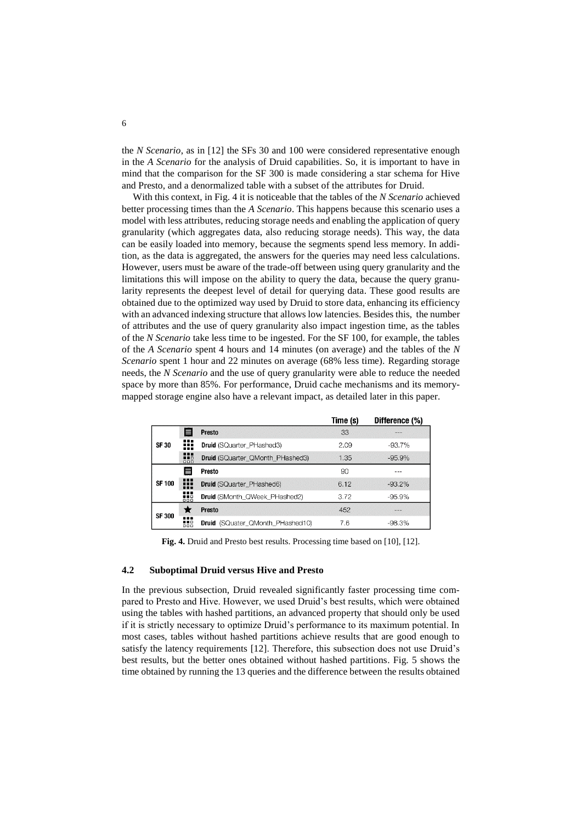the *N Scenario*, as in [12] the SFs 30 and 100 were considered representative enough in the *A Scenario* for the analysis of Druid capabilities. So, it is important to have in mind that the comparison for the SF 300 is made considering a star schema for Hive and Presto, and a denormalized table with a subset of the attributes for Druid.

With this context, i[n Fig. 4](#page-5-1) it is noticeable that the tables of the *N Scenario* achieved better processing times than the *A Scenario*. This happens because this scenario uses a model with less attributes, reducing storage needs and enabling the application of query granularity (which aggregates data, also reducing storage needs). This way, the data can be easily loaded into memory, because the segments spend less memory. In addition, as the data is aggregated, the answers for the queries may need less calculations. However, users must be aware of the trade-off between using query granularity and the limitations this will impose on the ability to query the data, because the query granularity represents the deepest level of detail for querying data. These good results are obtained due to the optimized way used by Druid to store data, enhancing its efficiency with an advanced indexing structure that allows low latencies. Besides this, the number of attributes and the use of query granularity also impact ingestion time, as the tables of the *N Scenario* take less time to be ingested. For the SF 100, for example, the tables of the *A Scenario* spent 4 hours and 14 minutes (on average) and the tables of the *N Scenario* spent 1 hour and 22 minutes on average (68% less time). Regarding storage needs, the *N Scenario* and the use of query granularity were able to reduce the needed space by more than 85%. For performance, Druid cache mechanisms and its memorymapped storage engine also have a relevant impact, as detailed later in this paper.

|               |           |                                         | Time (s) | Difference (%)      |
|---------------|-----------|-----------------------------------------|----------|---------------------|
|               | 目         | Presto                                  | 33       | <b>Ball And And</b> |
| SF 30         | ₩         | Druid (SQuarter_PHashed3)               | 2.09     | $-93.7%$            |
|               | ₩         | <b>Druid</b> (SQuarter QMonth PHashed3) | 1.35     | $-95.9%$            |
|               | 目         | Presto                                  | 90       | ---                 |
| <b>SF 100</b> | ₩         | <b>Druid</b> (SQuarter_PHashed6)        | 6.12     | $-93.2\%$           |
|               | 86<br>888 | <b>Druid</b> (SMonth QWeek PHashed2)    | 3.72     | $-95.9%$            |
| <b>SF 300</b> | ★         | Presto                                  | 452      |                     |
|               | <br>558   | <b>Druid</b> (SQuater QMonth PHashed10) | 7.6      | $-98.3%$            |

**Fig. 4.** Druid and Presto best results. Processing time based on [10], [12].

## <span id="page-5-1"></span><span id="page-5-0"></span>**4.2 Suboptimal Druid versus Hive and Presto**

In the previous subsection, Druid revealed significantly faster processing time compared to Presto and Hive. However, we used Druid's best results, which were obtained using the tables with hashed partitions, an advanced property that should only be used if it is strictly necessary to optimize Druid's performance to its maximum potential. In most cases, tables without hashed partitions achieve results that are good enough to satisfy the latency requirements [12]. Therefore, this subsection does not use Druid's best results, but the better ones obtained without hashed partitions. [Fig. 5](#page-6-1) shows the time obtained by running the 13 queries and the difference between the results obtained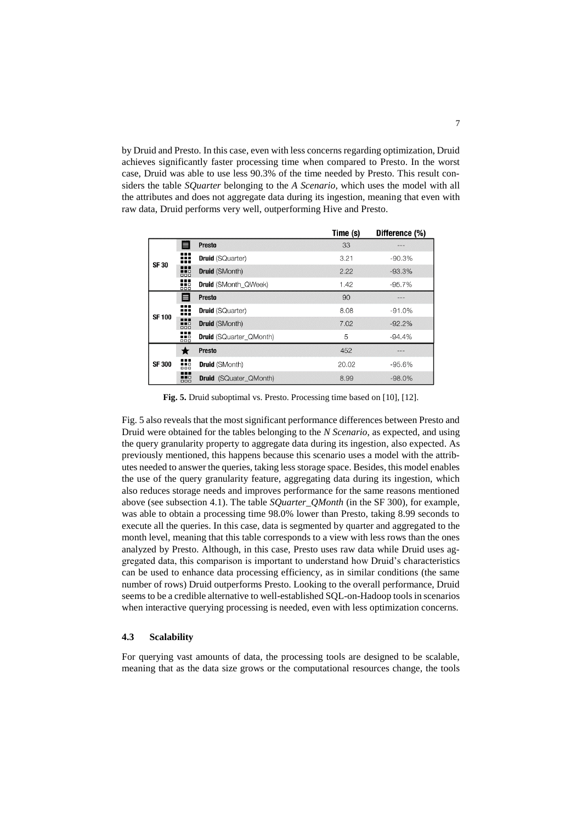by Druid and Presto. In this case, even with less concerns regarding optimization, Druid achieves significantly faster processing time when compared to Presto. In the worst case, Druid was able to use less 90.3% of the time needed by Presto. This result considers the table *SQuarter* belonging to the *A Scenario*, which uses the model with all the attributes and does not aggregate data during its ingestion, meaning that even with raw data, Druid performs very well, outperforming Hive and Presto.

|               |                     |                                | Time (s) | Difference (%) |  |
|---------------|---------------------|--------------------------------|----------|----------------|--|
|               | 目                   | Presto                         | 33       |                |  |
| <b>SF 30</b>  | ┅<br>₩              | <b>Druid (SQuarter)</b>        | 3.21     | $-90.3%$       |  |
|               | H                   | <b>Druid (SMonth)</b>          | 2.22     | $-93.3%$       |  |
|               | <br>囍               | <b>Druid</b> (SMonth_QWeek)    | 1.42     | $-95.7%$       |  |
|               | ▤                   | <b>Presto</b>                  | 90       |                |  |
| <b>SF 100</b> | <br>₩               | <b>Druid (SQuarter)</b>        | 8.08     | $-91.0%$       |  |
|               | H                   | <b>Druid (SMonth)</b>          | 7.02     | $-92.2%$       |  |
|               | <br>$\frac{1}{100}$ | <b>Druid</b> (SQuarter_QMonth) | 5        | $-94.4%$       |  |
|               | ×                   | <b>Presto</b>                  | 452      |                |  |
| <b>SF 300</b> | <br>666<br>000      | <b>Druid (SMonth)</b>          | 20.02    | $-95.6%$       |  |
|               | 66 T<br>880<br>000  | <b>Druid</b> (SQuater QMonth)  | 8.99     | $-98.0%$       |  |

**Fig. 5.** Druid suboptimal vs. Presto. Processing time based on [10], [12].

<span id="page-6-1"></span>[Fig. 5](#page-6-1) also reveals that the most significant performance differences between Presto and Druid were obtained for the tables belonging to the *N Scenario*, as expected, and using the query granularity property to aggregate data during its ingestion, also expected. As previously mentioned, this happens because this scenario uses a model with the attributes needed to answer the queries, taking less storage space. Besides, this model enables the use of the query granularity feature, aggregating data during its ingestion, which also reduces storage needs and improves performance for the same reasons mentioned above (see subsection [4.1\)](#page-4-1). The table *SQuarter\_QMonth* (in the SF 300), for example, was able to obtain a processing time 98.0% lower than Presto, taking 8.99 seconds to execute all the queries. In this case, data is segmented by quarter and aggregated to the month level, meaning that this table corresponds to a view with less rows than the ones analyzed by Presto. Although, in this case, Presto uses raw data while Druid uses aggregated data, this comparison is important to understand how Druid's characteristics can be used to enhance data processing efficiency, as in similar conditions (the same number of rows) Druid outperforms Presto. Looking to the overall performance, Druid seems to be a credible alternative to well-established SQL-on-Hadoop tools in scenarios when interactive querying processing is needed, even with less optimization concerns.

## <span id="page-6-0"></span>**4.3 Scalability**

For querying vast amounts of data, the processing tools are designed to be scalable, meaning that as the data size grows or the computational resources change, the tools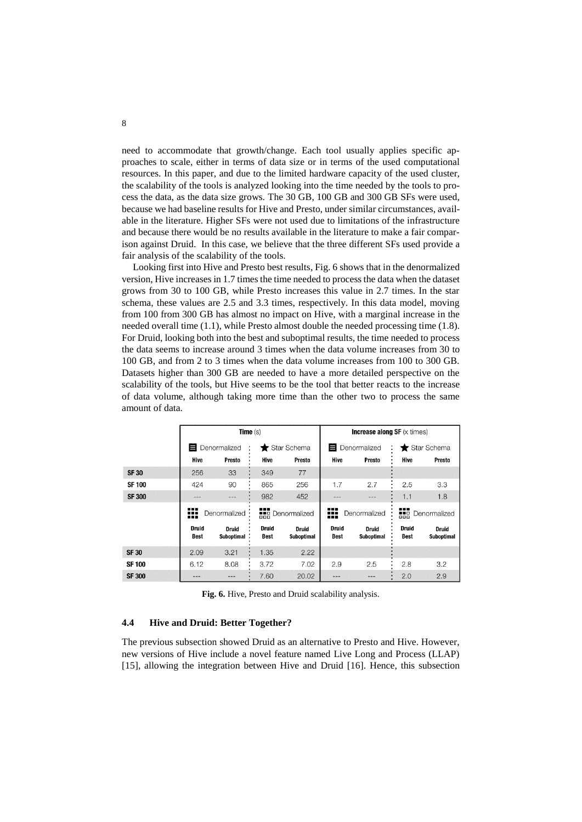need to accommodate that growth/change. Each tool usually applies specific approaches to scale, either in terms of data size or in terms of the used computational resources. In this paper, and due to the limited hardware capacity of the used cluster, the scalability of the tools is analyzed looking into the time needed by the tools to process the data, as the data size grows. The 30 GB, 100 GB and 300 GB SFs were used, because we had baseline results for Hive and Presto, under similar circumstances, available in the literature. Higher SFs were not used due to limitations of the infrastructure and because there would be no results available in the literature to make a fair comparison against Druid. In this case, we believe that the three different SFs used provide a fair analysis of the scalability of the tools.

Looking first into Hive and Presto best results[, Fig. 6](#page-7-0) shows that in the denormalized version, Hive increases in 1.7 times the time needed to process the data when the dataset grows from 30 to 100 GB, while Presto increases this value in 2.7 times. In the star schema, these values are 2.5 and 3.3 times, respectively. In this data model, moving from 100 from 300 GB has almost no impact on Hive, with a marginal increase in the needed overall time (1.1), while Presto almost double the needed processing time (1.8). For Druid, looking both into the best and suboptimal results, the time needed to process the data seems to increase around 3 times when the data volume increases from 30 to 100 GB, and from 2 to 3 times when the data volume increases from 100 to 300 GB. Datasets higher than 300 GB are needed to have a more detailed perspective on the scalability of the tools, but Hive seems to be the tool that better reacts to the increase of data volume, although taking more time than the other two to process the same amount of data.

|               |                         | Time $(s)$          |                             |                            | <b>Increase along SF</b> $(x \times x)$ |                                   |                       |                                   |  |
|---------------|-------------------------|---------------------|-----------------------------|----------------------------|-----------------------------------------|-----------------------------------|-----------------------|-----------------------------------|--|
|               | 目<br>Denormalized       |                     | Star Schema                 |                            | 目<br>Denormalized                       |                                   | Star Schema<br>÷      |                                   |  |
|               | Hive<br>Presto          |                     | Hive                        | Presto                     | Hive<br>Presto                          |                                   | Hive                  | Presto                            |  |
| <b>SF 30</b>  | 256                     | 33                  | 349                         | 77                         |                                         |                                   |                       |                                   |  |
| <b>SF 100</b> | 424                     | 90                  | 865                         | 256                        | 1.7                                     | 2.7                               | 2.5                   | 3.3                               |  |
| <b>SF 300</b> | $- - -$                 | $- - -$             | 982                         | 452                        | ---                                     | $- - -$                           | 1.1                   | 1.8                               |  |
|               | <br>Denormalized ·<br>ш |                     | <br><b>HHE</b> Denormalized |                            | <br>Denormalized<br>₩                   |                                   | <br>Denormalized<br>囍 |                                   |  |
|               | <b>Druid</b><br>Best    | Druid<br>Suboptimal | <b>Druid</b><br><b>Best</b> | Druid<br><b>Suboptimal</b> | <b>Druid</b><br>Best                    | <b>Druid</b><br><b>Suboptimal</b> | <b>Druid</b><br>Best  | <b>Druid</b><br><b>Suboptimal</b> |  |
| <b>SF 30</b>  | 2.09                    | 3.21                | 1.35                        | 2.22                       |                                         |                                   |                       |                                   |  |
| <b>SF100</b>  | 6.12                    | 8.08                | 3.72                        | 7.02                       | 2.9                                     | 2.5                               | 2.8                   | 3.2                               |  |
| <b>SF 300</b> | ---                     | ---                 | 7.60                        | 20.02                      | ---                                     | ---                               | 2.0                   | 2.9                               |  |

**Fig. 6.** Hive, Presto and Druid scalability analysis.

#### <span id="page-7-1"></span><span id="page-7-0"></span>**4.4 Hive and Druid: Better Together?**

The previous subsection showed Druid as an alternative to Presto and Hive. However, new versions of Hive include a novel feature named Live Long and Process (LLAP) [15], allowing the integration between Hive and Druid [16]. Hence, this subsection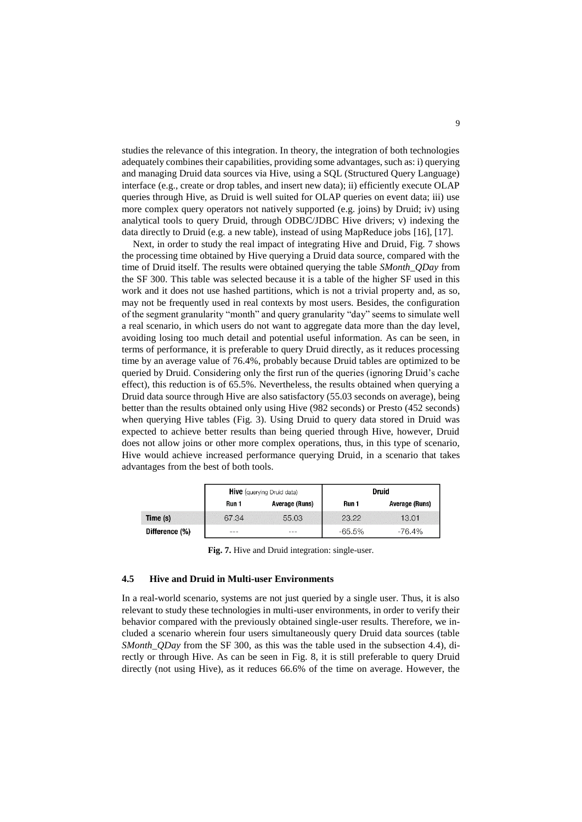studies the relevance of this integration. In theory, the integration of both technologies adequately combines their capabilities, providing some advantages, such as: i) querying and managing Druid data sources via Hive, using a SQL (Structured Query Language) interface (e.g., create or drop tables, and insert new data); ii) efficiently execute OLAP queries through Hive, as Druid is well suited for OLAP queries on event data; iii) use more complex query operators not natively supported (e.g. joins) by Druid; iv) using analytical tools to query Druid, through ODBC/JDBC Hive drivers; v) indexing the data directly to Druid (e.g. a new table), instead of using MapReduce jobs [16], [17].

Next, in order to study the real impact of integrating Hive and Druid, [Fig. 7](#page-8-0) shows the processing time obtained by Hive querying a Druid data source, compared with the time of Druid itself. The results were obtained querying the table *SMonth\_QDay* from the SF 300. This table was selected because it is a table of the higher SF used in this work and it does not use hashed partitions, which is not a trivial property and, as so, may not be frequently used in real contexts by most users. Besides, the configuration of the segment granularity "month" and query granularity "day" seems to simulate well a real scenario, in which users do not want to aggregate data more than the day level, avoiding losing too much detail and potential useful information. As can be seen, in terms of performance, it is preferable to query Druid directly, as it reduces processing time by an average value of 76.4%, probably because Druid tables are optimized to be queried by Druid. Considering only the first run of the queries (ignoring Druid's cache effect), this reduction is of 65.5%. Nevertheless, the results obtained when querying a Druid data source through Hive are also satisfactory (55.03 seconds on average), being better than the results obtained only using Hive (982 seconds) or Presto (452 seconds) when querying Hive tables [\(Fig. 3\)](#page-4-2). Using Druid to query data stored in Druid was expected to achieve better results than being queried through Hive, however, Druid does not allow joins or other more complex operations, thus, in this type of scenario, Hive would achieve increased performance querying Druid, in a scenario that takes advantages from the best of both tools.

|                | <b>Hive</b> (querying Druid data) |       | <b>Druid</b> |                |  |
|----------------|-----------------------------------|-------|--------------|----------------|--|
|                | Average (Runs)<br>Run 1           |       | Run 1        | Average (Runs) |  |
| Time (s)       | 67.34                             | 55.03 | 23.22        | 13.01          |  |
| Difference (%) | ---                               | ---   | -65.5%       | -76.4%         |  |

**Fig. 7.** Hive and Druid integration: single-user.

#### <span id="page-8-0"></span>**4.5 Hive and Druid in Multi-user Environments**

In a real-world scenario, systems are not just queried by a single user. Thus, it is also relevant to study these technologies in multi-user environments, in order to verify their behavior compared with the previously obtained single-user results. Therefore, we included a scenario wherein four users simultaneously query Druid data sources (table *SMonth\_QDay* from the SF 300, as this was the table used in the subsection [4.4\)](#page-7-1), directly or through Hive. As can be seen in [Fig. 8,](#page-9-0) it is still preferable to query Druid directly (not using Hive), as it reduces 66.6% of the time on average. However, the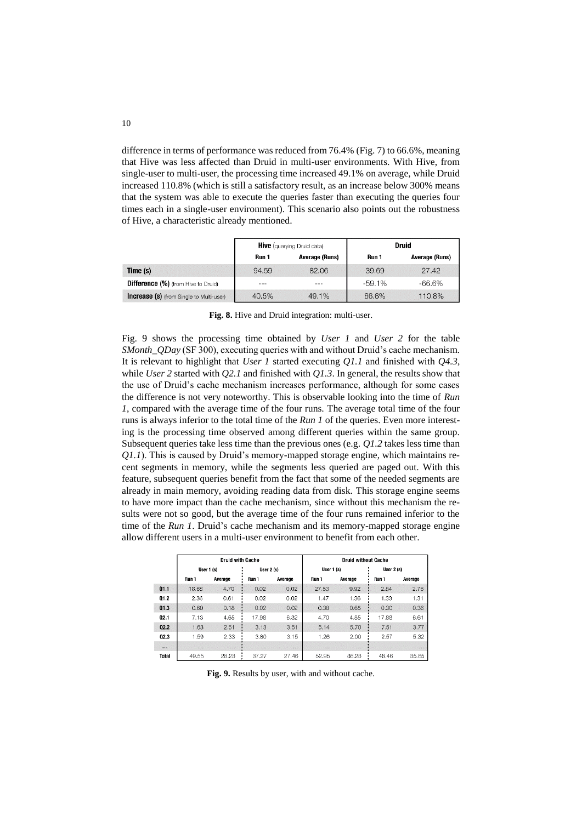difference in terms of performance was reduced from 76.4% [\(Fig. 7\)](#page-8-0) to 66.6%, meaning that Hive was less affected than Druid in multi-user environments. With Hive, from single-user to multi-user, the processing time increased 49.1% on average, while Druid increased 110.8% (which is still a satisfactory result, as an increase below 300% means that the system was able to execute the queries faster than executing the queries four times each in a single-user environment). This scenario also points out the robustness of Hive, a characteristic already mentioned.

|                                                 |                         | <b>Hive</b> (querying Druid data) | Druid    |                |  |
|-------------------------------------------------|-------------------------|-----------------------------------|----------|----------------|--|
|                                                 | Average (Runs)<br>Run 1 |                                   | Run 1    | Average (Runs) |  |
| Time (s)                                        | 94.59                   | 82.06                             | 39.69    | 27.42          |  |
| <b>Difference (%)</b> (from Hive to Druid)      | ---                     | ---                               | $-59.1%$ | $-66.6\%$      |  |
| <b>Increase (s)</b> (from Single to Multi-user) | 40.5%                   | 49.1%                             | 66.6%    | 110.8%         |  |

**Fig. 8.** Hive and Druid integration: multi-user.

<span id="page-9-0"></span>[Fig. 9](#page-9-1) shows the processing time obtained by *User 1* and *User 2* for the table *SMonth QDay* (SF 300), executing queries with and without Druid's cache mechanism. It is relevant to highlight that *User 1* started executing *Q1.1* and finished with *Q4.3*, while *User 2* started with *Q2.1* and finished with *Q1.3*. In general, the results show that the use of Druid's cache mechanism increases performance, although for some cases the difference is not very noteworthy. This is observable looking into the time of *Run 1*, compared with the average time of the four runs. The average total time of the four runs is always inferior to the total time of the *Run 1* of the queries. Even more interesting is the processing time observed among different queries within the same group. Subsequent queries take less time than the previous ones (e.g. *Q1.2* takes less time than *Q1.1*). This is caused by Druid's memory-mapped storage engine, which maintains recent segments in memory, while the segments less queried are paged out. With this feature, subsequent queries benefit from the fact that some of the needed segments are already in main memory, avoiding reading data from disk. This storage engine seems to have more impact than the cache mechanism, since without this mechanism the results were not so good, but the average time of the four runs remained inferior to the time of the *Run 1*. Druid's cache mechanism and its memory-mapped storage engine allow different users in a multi-user environment to benefit from each other.

|       | <b>Druid with Cache</b> |       |                  |         | <b>Druid without Cache</b> |         |            |         |  |
|-------|-------------------------|-------|------------------|---------|----------------------------|---------|------------|---------|--|
|       | User 1 (s)              |       | User $2(s)$      |         | User $1(s)$                |         | User 2 (s) |         |  |
|       | Run 1<br>Average        |       | Run 1<br>Average |         | Run 1                      | Average | Run 1      | Average |  |
| Q1.1  | 18.68                   | 4.70  | 0.02             | 0.02    | 27.53                      | 9.92    | 2.84       | 2.76    |  |
| 01.2  | 2.36                    | 0.61  | 0.02             | 0.02    | 1.47                       | 1.36    | 1.33       | 1.31    |  |
| 01.3  | 0.60                    | 0.18  | 0.02             | 0.02    | 0.38                       | 0.65    | 0.30       | 0.36    |  |
| 02.1  | 7.13                    | 4.65  | 17.98            | 6.32    | 4.70                       | 4.85    | 17.88      | 6.61    |  |
| 02.2  | 1.63                    | 2.51  | 3.13             | 3.51    | 5.14                       | 5.70    | 7.51       | 3.77    |  |
| 02.3  | 1.59                    | 2.33  | 3.80             | 3.15    | 1.26                       | 2.00    | 2.57       | 5.32    |  |
|       | .                       | 1.1.7 | $\cdots$         | $\cdot$ |                            | 1.1.1   | $\cdots$   |         |  |
| Total | 49.55                   | 28.23 | 37.27            | 27.46   | 52.95                      | 36.23   | 48.46      | 35.65   |  |

<span id="page-9-1"></span>**Fig. 9.** Results by user, with and without cache.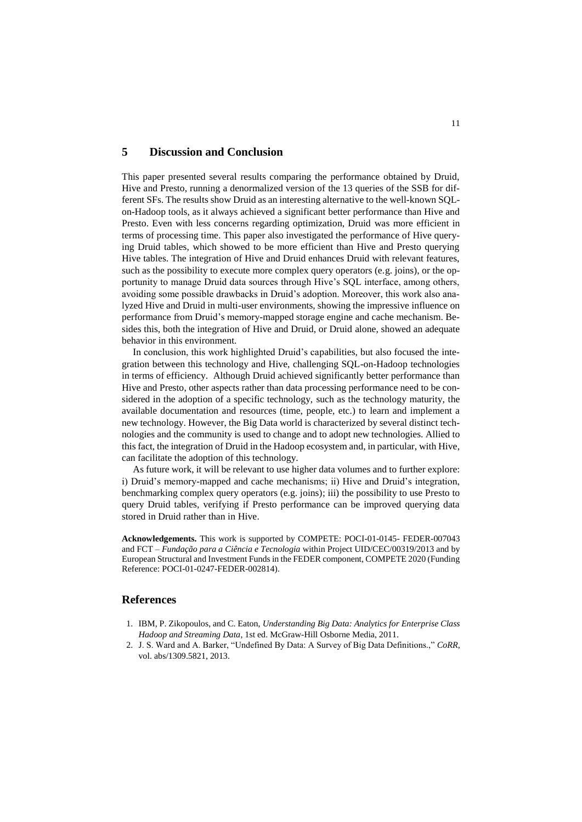## **5 Discussion and Conclusion**

This paper presented several results comparing the performance obtained by Druid, Hive and Presto, running a denormalized version of the 13 queries of the SSB for different SFs. The results show Druid as an interesting alternative to the well-known SQLon-Hadoop tools, as it always achieved a significant better performance than Hive and Presto. Even with less concerns regarding optimization, Druid was more efficient in terms of processing time. This paper also investigated the performance of Hive querying Druid tables, which showed to be more efficient than Hive and Presto querying Hive tables. The integration of Hive and Druid enhances Druid with relevant features, such as the possibility to execute more complex query operators (e.g. joins), or the opportunity to manage Druid data sources through Hive's SQL interface, among others, avoiding some possible drawbacks in Druid's adoption. Moreover, this work also analyzed Hive and Druid in multi-user environments, showing the impressive influence on performance from Druid's memory-mapped storage engine and cache mechanism. Besides this, both the integration of Hive and Druid, or Druid alone, showed an adequate behavior in this environment.

In conclusion, this work highlighted Druid's capabilities, but also focused the integration between this technology and Hive, challenging SQL-on-Hadoop technologies in terms of efficiency. Although Druid achieved significantly better performance than Hive and Presto, other aspects rather than data processing performance need to be considered in the adoption of a specific technology, such as the technology maturity, the available documentation and resources (time, people, etc.) to learn and implement a new technology. However, the Big Data world is characterized by several distinct technologies and the community is used to change and to adopt new technologies. Allied to this fact, the integration of Druid in the Hadoop ecosystem and, in particular, with Hive, can facilitate the adoption of this technology.

As future work, it will be relevant to use higher data volumes and to further explore: i) Druid's memory-mapped and cache mechanisms; ii) Hive and Druid's integration, benchmarking complex query operators (e.g. joins); iii) the possibility to use Presto to query Druid tables, verifying if Presto performance can be improved querying data stored in Druid rather than in Hive.

**Acknowledgements.** This work is supported by COMPETE: POCI-01-0145- FEDER-007043 and FCT – *Fundação para a Ciência e Tecnologia* within Project UID/CEC/00319/2013 and by European Structural and Investment Funds in the FEDER component, COMPETE 2020 (Funding Reference: POCI-01-0247-FEDER-002814).

## **References**

- 1. IBM, P. Zikopoulos, and C. Eaton, *Understanding Big Data: Analytics for Enterprise Class Hadoop and Streaming Data*, 1st ed. McGraw-Hill Osborne Media, 2011.
- 2. J. S. Ward and A. Barker, "Undefined By Data: A Survey of Big Data Definitions.," *CoRR*, vol. abs/1309.5821, 2013.